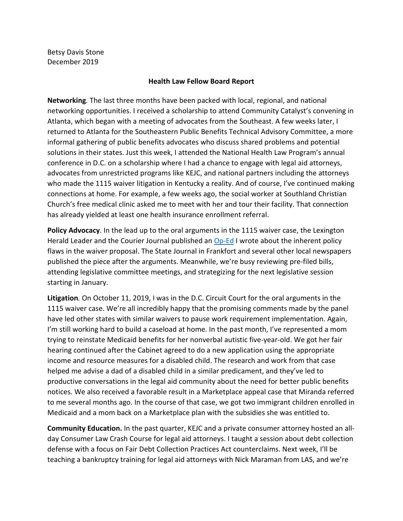Betsy Davis Stone December 2019

## **Health Law Fellow Board Report**

**Networking***.* The last three months have been packed with local, regional, and national networking opportunities. I received a scholarship to attend Community Catalyst's convening in Atlanta, which began with a meeting of advocates from the Southeast. A few weeks later, I returned to Atlanta for the Southeastern Public Benefits Technical Advisory Committee, a more informal gathering of public benefits advocates who discuss shared problems and potential solutions in their states. Just this week, I attended the National Health Law Program's annual conference in D.C. on a scholarship where I had a chance to engage with legal aid attorneys, advocates from unrestricted programs like KEJC, and national partners including the attorneys who made the 1115 waiver litigation in Kentucky a reality. And of course, I've continued making connections at home. For example, a few weeks ago, the social worker at Southland Christian Church's free medical clinic asked me to meet with her and tour their facility. That connection has already yielded at least one health insurance enrollment referral.

**Policy Advocacy**. In the lead up to the oral arguments in the 1115 waiver case, the Lexington Herald Leader and the Courier Journal published an [Op-Ed](https://www.kentucky.com/opinion/op-ed/article235882497.html) I wrote about the inherent policy flaws in the waiver proposal. The State Journal in Frankfort and several other local newspapers published the piece after the arguments. Meanwhile, we're busy reviewing pre-filed bills, attending legislative committee meetings, and strategizing for the next legislative session starting in January.

**Litigation***.* On October 11, 2019, I was in the D.C. Circuit Court for the oral arguments in the 1115 waiver case. We're all incredibly happy that the promising comments made by the panel have led other states with similar waivers to pause work requirement implementation. Again, I'm still working hard to build a caseload at home. In the past month, I've represented a mom trying to reinstate Medicaid benefits for her nonverbal autistic five-year-old. We got her fair hearing continued after the Cabinet agreed to do a new application using the appropriate income and resource measures for a disabled child. The research and work from that case helped me advise a dad of a disabled child in a similar predicament, and they've led to productive conversations in the legal aid community about the need for better public benefits notices. We also received a favorable result in a Marketplace appeal case that Miranda referred to me several months ago. In the course of that case, we got two immigrant children enrolled in Medicaid and a mom back on a Marketplace plan with the subsidies she was entitled to.

**Community Education.** In the past quarter, KEJC and a private consumer attorney hosted an allday Consumer Law Crash Course for legal aid attorneys. I taught a session about debt collection defense with a focus on Fair Debt Collection Practices Act counterclaims. Next week, I'll be teaching a bankruptcy training for legal aid attorneys with Nick Maraman from LAS, and we're